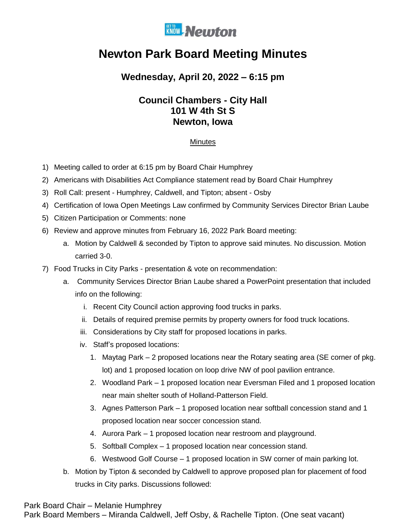

# **Newton Park Board Meeting Minutes**

## **Wednesday, April 20, 2022 – 6:15 pm**

## **Council Chambers - City Hall 101 W 4th St S Newton, Iowa**

### Minutes

- 1) Meeting called to order at 6:15 pm by Board Chair Humphrey
- 2) Americans with Disabilities Act Compliance statement read by Board Chair Humphrey
- 3) Roll Call: present Humphrey, Caldwell, and Tipton; absent Osby
- 4) Certification of Iowa Open Meetings Law confirmed by Community Services Director Brian Laube
- 5) Citizen Participation or Comments: none
- 6) Review and approve minutes from February 16, 2022 Park Board meeting:
	- a. Motion by Caldwell & seconded by Tipton to approve said minutes. No discussion. Motion carried 3-0.
- 7) Food Trucks in City Parks presentation & vote on recommendation:
	- a. Community Services Director Brian Laube shared a PowerPoint presentation that included info on the following:
		- i. Recent City Council action approving food trucks in parks.
		- ii. Details of required premise permits by property owners for food truck locations.
		- iii. Considerations by City staff for proposed locations in parks.
		- iv. Staff's proposed locations:
			- 1. Maytag Park 2 proposed locations near the Rotary seating area (SE corner of pkg. lot) and 1 proposed location on loop drive NW of pool pavilion entrance.
			- 2. Woodland Park 1 proposed location near Eversman Filed and 1 proposed location near main shelter south of Holland-Patterson Field.
			- 3. Agnes Patterson Park 1 proposed location near softball concession stand and 1 proposed location near soccer concession stand.
			- 4. Aurora Park 1 proposed location near restroom and playground.
			- 5. Softball Complex 1 proposed location near concession stand.
			- 6. Westwood Golf Course 1 proposed location in SW corner of main parking lot.
	- b. Motion by Tipton & seconded by Caldwell to approve proposed plan for placement of food trucks in City parks. Discussions followed:

Park Board Chair – Melanie Humphrey

Park Board Members – Miranda Caldwell, Jeff Osby, & Rachelle Tipton. (One seat vacant)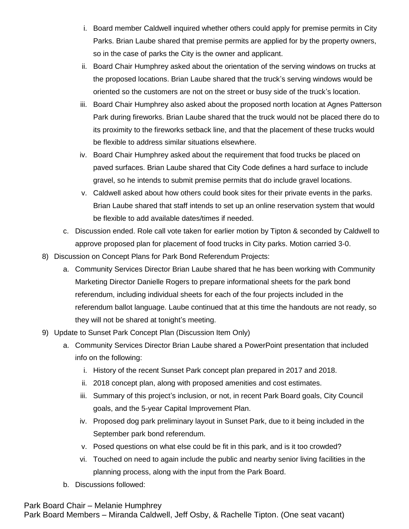- i. Board member Caldwell inquired whether others could apply for premise permits in City Parks. Brian Laube shared that premise permits are applied for by the property owners, so in the case of parks the City is the owner and applicant.
- ii. Board Chair Humphrey asked about the orientation of the serving windows on trucks at the proposed locations. Brian Laube shared that the truck's serving windows would be oriented so the customers are not on the street or busy side of the truck's location.
- iii. Board Chair Humphrey also asked about the proposed north location at Agnes Patterson Park during fireworks. Brian Laube shared that the truck would not be placed there do to its proximity to the fireworks setback line, and that the placement of these trucks would be flexible to address similar situations elsewhere.
- iv. Board Chair Humphrey asked about the requirement that food trucks be placed on paved surfaces. Brian Laube shared that City Code defines a hard surface to include gravel, so he intends to submit premise permits that do include gravel locations.
- v. Caldwell asked about how others could book sites for their private events in the parks. Brian Laube shared that staff intends to set up an online reservation system that would be flexible to add available dates/times if needed.
- c. Discussion ended. Role call vote taken for earlier motion by Tipton & seconded by Caldwell to approve proposed plan for placement of food trucks in City parks. Motion carried 3-0.
- 8) Discussion on Concept Plans for Park Bond Referendum Projects:
	- a. Community Services Director Brian Laube shared that he has been working with Community Marketing Director Danielle Rogers to prepare informational sheets for the park bond referendum, including individual sheets for each of the four projects included in the referendum ballot language. Laube continued that at this time the handouts are not ready, so they will not be shared at tonight's meeting.
- 9) Update to Sunset Park Concept Plan (Discussion Item Only)
	- a. Community Services Director Brian Laube shared a PowerPoint presentation that included info on the following:
		- i. History of the recent Sunset Park concept plan prepared in 2017 and 2018.
		- ii. 2018 concept plan, along with proposed amenities and cost estimates.
		- iii. Summary of this project's inclusion, or not, in recent Park Board goals, City Council goals, and the 5-year Capital Improvement Plan.
		- iv. Proposed dog park preliminary layout in Sunset Park, due to it being included in the September park bond referendum.
		- v. Posed questions on what else could be fit in this park, and is it too crowded?
		- vi. Touched on need to again include the public and nearby senior living facilities in the planning process, along with the input from the Park Board.
	- b. Discussions followed:

Park Board Chair – Melanie Humphrey

Park Board Members – Miranda Caldwell, Jeff Osby, & Rachelle Tipton. (One seat vacant)